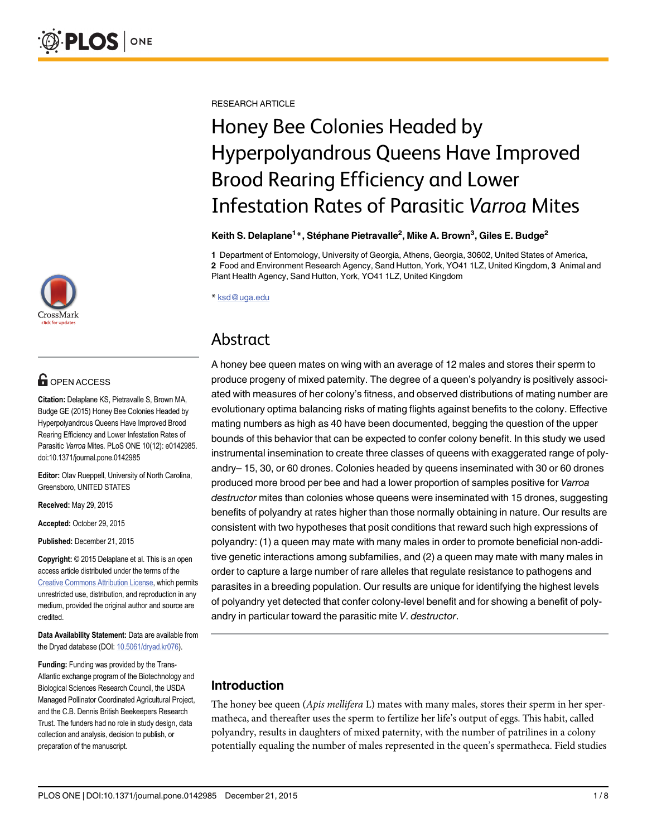

## **G** OPEN ACCESS

Citation: Delaplane KS, Pietravalle S, Brown MA, Budge GE (2015) Honey Bee Colonies Headed by Hyperpolyandrous Queens Have Improved Brood Rearing Efficiency and Lower Infestation Rates of Parasitic Varroa Mites. PLoS ONE 10(12): e0142985. doi:10.1371/journal.pone.0142985

Editor: Olav Rueppell, University of North Carolina, Greensboro, UNITED STATES

Received: May 29, 2015

Accepted: October 29, 2015

Published: December 21, 2015

Copyright: © 2015 Delaplane et al. This is an open access article distributed under the terms of the [Creative Commons Attribution License,](http://creativecommons.org/licenses/by/4.0/) which permits unrestricted use, distribution, and reproduction in any medium, provided the original author and source are credited.

Data Availability Statement: Data are available from the Dryad database (DOI: [10.5061/dryad.kr076](http://dx.doi.org/10.5061/dryad.kr076)).

Funding: Funding was provided by the Trans-Atlantic exchange program of the Biotechnology and Biological Sciences Research Council, the USDA Managed Pollinator Coordinated Agricultural Project, and the C.B. Dennis British Beekeepers Research Trust. The funders had no role in study design, data collection and analysis, decision to publish, or preparation of the manuscript.

RESEARCH ARTICLE

# Honey Bee Colonies Headed by Hyperpolyandrous Queens Have Improved Brood Rearing Efficiency and Lower Infestation Rates of Parasitic Varroa Mites

Keith S. Delaplane<sup>1</sup>\*, Stéphane Pietravalle<sup>2</sup>, Mike A. Brown<sup>3</sup>, Giles E. Budge<sup>2</sup>

1 Department of Entomology, University of Georgia, Athens, Georgia, 30602, United States of America, 2 Food and Environment Research Agency, Sand Hutton, York, YO41 1LZ, United Kingdom, 3 Animal and Plant Health Agency, Sand Hutton, York, YO41 1LZ, United Kingdom

\* ksd@uga.edu

## Abstract

A honey bee queen mates on wing with an average of 12 males and stores their sperm to produce progeny of mixed paternity. The degree of a queen's polyandry is positively associated with measures of her colony's fitness, and observed distributions of mating number are evolutionary optima balancing risks of mating flights against benefits to the colony. Effective mating numbers as high as 40 have been documented, begging the question of the upper bounds of this behavior that can be expected to confer colony benefit. In this study we used instrumental insemination to create three classes of queens with exaggerated range of polyandry– 15, 30, or 60 drones. Colonies headed by queens inseminated with 30 or 60 drones produced more brood per bee and had a lower proportion of samples positive for Varroa destructor mites than colonies whose queens were inseminated with 15 drones, suggesting benefits of polyandry at rates higher than those normally obtaining in nature. Our results are consistent with two hypotheses that posit conditions that reward such high expressions of polyandry: (1) a queen may mate with many males in order to promote beneficial non-additive genetic interactions among subfamilies, and (2) a queen may mate with many males in order to capture a large number of rare alleles that regulate resistance to pathogens and parasites in a breeding population. Our results are unique for identifying the highest levels of polyandry yet detected that confer colony-level benefit and for showing a benefit of polyandry in particular toward the parasitic mite V. destructor.

### Introduction

The honey bee queen (*Apis mellifera* L) mates with many males, stores their sperm in her spermatheca, and thereafter uses the sperm to fertilize her life's output of eggs. This habit, called polyandry, results in daughters of mixed paternity, with the number of patrilines in a colony potentially equaling the number of males represented in the queen's spermatheca. Field studies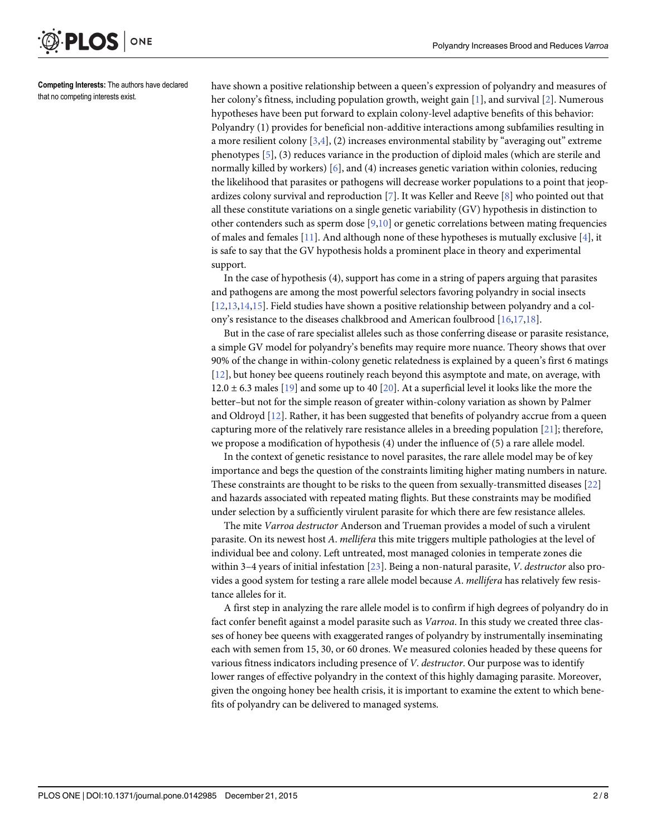<span id="page-1-0"></span>

Competing Interests: The authors have declared that no competing interests exist.

have shown a positive relationship between a queen's expression of polyandry and measures of her colony's fitness, including population growth, weight gain [[1\]](#page-5-0), and survival [\[2](#page-5-0)]. Numerous hypotheses have been put forward to explain colony-level adaptive benefits of this behavior: Polyandry (1) provides for beneficial non-additive interactions among subfamilies resulting in a more resilient colony  $[3,4]$ , (2) increases environmental stability by "averaging out" extreme phenotypes  $[5]$  $[5]$ , (3) reduces variance in the production of diploid males (which are sterile and normally killed by workers) [\[6\]](#page-6-0), and (4) increases genetic variation within colonies, reducing the likelihood that parasites or pathogens will decrease worker populations to a point that jeopardizes colony survival and reproduction  $\lceil 7 \rceil$ . It was Keller and Reeve  $\lceil 8 \rceil$  $\lceil 8 \rceil$  $\lceil 8 \rceil$  who pointed out that all these constitute variations on a single genetic variability (GV) hypothesis in distinction to other contenders such as sperm dose  $[9,10]$  $[9,10]$  or genetic correlations between mating frequencies of males and females [[11\]](#page-6-0). And although none of these hypotheses is mutually exclusive [\[4](#page-5-0)], it is safe to say that the GV hypothesis holds a prominent place in theory and experimental support.

In the case of hypothesis (4), support has come in a string of papers arguing that parasites and pathogens are among the most powerful selectors favoring polyandry in social insects [\[12,13,14,15](#page-6-0)]. Field studies have shown a positive relationship between polyandry and a col-ony's resistance to the diseases chalkbrood and American foulbrood [\[16,17](#page-6-0),[18](#page-6-0)].

But in the case of rare specialist alleles such as those conferring disease or parasite resistance, a simple GV model for polyandry's benefits may require more nuance. Theory shows that over 90% of the change in within-colony genetic relatedness is explained by a queen's first 6 matings [\[12](#page-6-0)], but honey bee queens routinely reach beyond this asymptote and mate, on average, with  $12.0 \pm 6.3$  males [\[19\]](#page-6-0) and some up to 40 [[20](#page-6-0)]. At a superficial level it looks like the more the better–but not for the simple reason of greater within-colony variation as shown by Palmer and Oldroyd [\[12](#page-6-0)]. Rather, it has been suggested that benefits of polyandry accrue from a queen capturing more of the relatively rare resistance alleles in a breeding population [\[21\]](#page-6-0); therefore, we propose a modification of hypothesis (4) under the influence of (5) a rare allele model.

In the context of genetic resistance to novel parasites, the rare allele model may be of key importance and begs the question of the constraints limiting higher mating numbers in nature. These constraints are thought to be risks to the queen from sexually-transmitted diseases [\[22\]](#page-6-0) and hazards associated with repeated mating flights. But these constraints may be modified under selection by a sufficiently virulent parasite for which there are few resistance alleles.

The mite Varroa destructor Anderson and Trueman provides a model of such a virulent parasite. On its newest host A. mellifera this mite triggers multiple pathologies at the level of individual bee and colony. Left untreated, most managed colonies in temperate zones die within 3-4 years of initial infestation [[23](#page-6-0)]. Being a non-natural parasite, V. destructor also provides a good system for testing a rare allele model because A. mellifera has relatively few resistance alleles for it.

A first step in analyzing the rare allele model is to confirm if high degrees of polyandry do in fact confer benefit against a model parasite such as Varroa. In this study we created three classes of honey bee queens with exaggerated ranges of polyandry by instrumentally inseminating each with semen from 15, 30, or 60 drones. We measured colonies headed by these queens for various fitness indicators including presence of V. destructor. Our purpose was to identify lower ranges of effective polyandry in the context of this highly damaging parasite. Moreover, given the ongoing honey bee health crisis, it is important to examine the extent to which benefits of polyandry can be delivered to managed systems.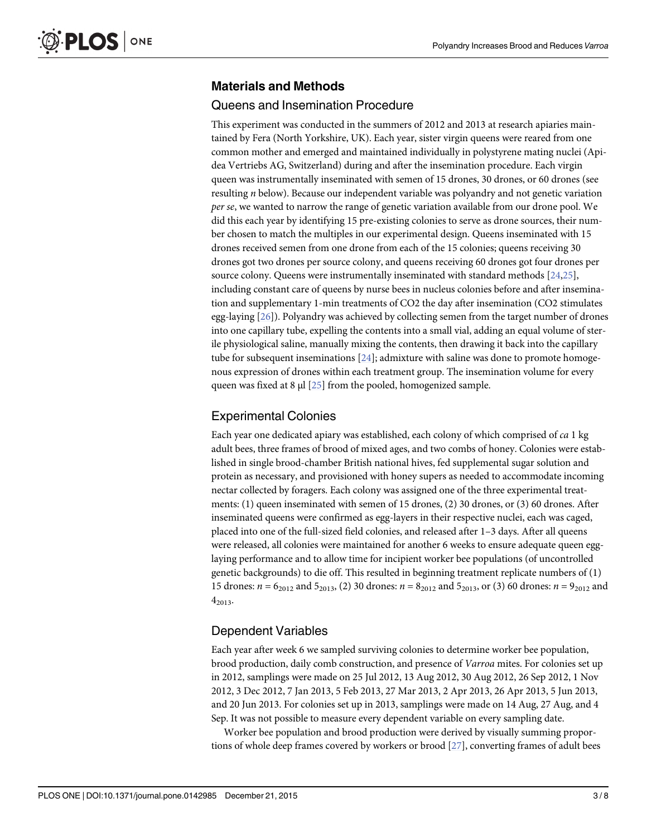#### <span id="page-2-0"></span>Materials and Methods

#### Queens and Insemination Procedure

This experiment was conducted in the summers of 2012 and 2013 at research apiaries maintained by Fera (North Yorkshire, UK). Each year, sister virgin queens were reared from one common mother and emerged and maintained individually in polystyrene mating nuclei (Apidea Vertriebs AG, Switzerland) during and after the insemination procedure. Each virgin queen was instrumentally inseminated with semen of 15 drones, 30 drones, or 60 drones (see resulting n below). Because our independent variable was polyandry and not genetic variation per se, we wanted to narrow the range of genetic variation available from our drone pool. We did this each year by identifying 15 pre-existing colonies to serve as drone sources, their number chosen to match the multiples in our experimental design. Queens inseminated with 15 drones received semen from one drone from each of the 15 colonies; queens receiving 30 drones got two drones per source colony, and queens receiving 60 drones got four drones per source colony. Queens were instrumentally inseminated with standard methods [\[24,25](#page-6-0)], including constant care of queens by nurse bees in nucleus colonies before and after insemination and supplementary 1-min treatments of CO2 the day after insemination (CO2 stimulates egg-laying [[26](#page-6-0)]). Polyandry was achieved by collecting semen from the target number of drones into one capillary tube, expelling the contents into a small vial, adding an equal volume of sterile physiological saline, manually mixing the contents, then drawing it back into the capillary tube for subsequent inseminations  $[24]$  $[24]$ ; admixture with saline was done to promote homogenous expression of drones within each treatment group. The insemination volume for every queen was fixed at 8 μl [[25\]](#page-6-0) from the pooled, homogenized sample.

#### Experimental Colonies

Each year one dedicated apiary was established, each colony of which comprised of ca 1 kg adult bees, three frames of brood of mixed ages, and two combs of honey. Colonies were established in single brood-chamber British national hives, fed supplemental sugar solution and protein as necessary, and provisioned with honey supers as needed to accommodate incoming nectar collected by foragers. Each colony was assigned one of the three experimental treatments: (1) queen inseminated with semen of 15 drones, (2) 30 drones, or (3) 60 drones. After inseminated queens were confirmed as egg-layers in their respective nuclei, each was caged, placed into one of the full-sized field colonies, and released after 1–3 days. After all queens were released, all colonies were maintained for another 6 weeks to ensure adequate queen egglaying performance and to allow time for incipient worker bee populations (of uncontrolled genetic backgrounds) to die off. This resulted in beginning treatment replicate numbers of (1) 15 drones:  $n = 6_{2012}$  and  $5_{2013}$ , (2) 30 drones:  $n = 8_{2012}$  and  $5_{2013}$ , or (3) 60 drones:  $n = 9_{2012}$  and  $4_{2013}$ 

#### Dependent Variables

Each year after week 6 we sampled surviving colonies to determine worker bee population, brood production, daily comb construction, and presence of Varroa mites. For colonies set up in 2012, samplings were made on 25 Jul 2012, 13 Aug 2012, 30 Aug 2012, 26 Sep 2012, 1 Nov 2012, 3 Dec 2012, 7 Jan 2013, 5 Feb 2013, 27 Mar 2013, 2 Apr 2013, 26 Apr 2013, 5 Jun 2013, and 20 Jun 2013. For colonies set up in 2013, samplings were made on 14 Aug, 27 Aug, and 4 Sep. It was not possible to measure every dependent variable on every sampling date.

Worker bee population and brood production were derived by visually summing proportions of whole deep frames covered by workers or brood [\[27\]](#page-6-0), converting frames of adult bees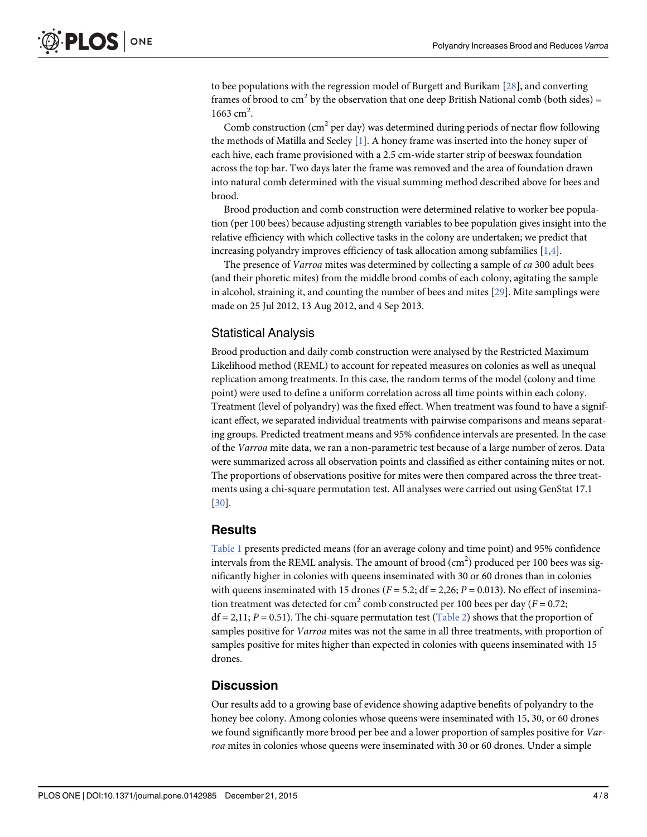<span id="page-3-0"></span>to bee populations with the regression model of Burgett and Burikam [\[28\]](#page-6-0), and converting frames of brood to  $cm<sup>2</sup>$  by the observation that one deep British National comb (both sides) =  $1663$  cm<sup>2</sup>.

Comb construction ( $cm<sup>2</sup>$  per day) was determined during periods of nectar flow following the methods of Matilla and Seeley [\[1\]](#page-5-0). A honey frame was inserted into the honey super of each hive, each frame provisioned with a 2.5 cm-wide starter strip of beeswax foundation across the top bar. Two days later the frame was removed and the area of foundation drawn into natural comb determined with the visual summing method described above for bees and brood.

Brood production and comb construction were determined relative to worker bee population (per 100 bees) because adjusting strength variables to bee population gives insight into the relative efficiency with which collective tasks in the colony are undertaken; we predict that increasing polyandry improves efficiency of task allocation among subfamilies [\[1,4](#page-5-0)].

The presence of *Varroa* mites was determined by collecting a sample of *ca* 300 adult bees (and their phoretic mites) from the middle brood combs of each colony, agitating the sample in alcohol, straining it, and counting the number of bees and mites [\[29\]](#page-6-0). Mite samplings were made on 25 Jul 2012, 13 Aug 2012, and 4 Sep 2013.

#### Statistical Analysis

Brood production and daily comb construction were analysed by the Restricted Maximum Likelihood method (REML) to account for repeated measures on colonies as well as unequal replication among treatments. In this case, the random terms of the model (colony and time point) were used to define a uniform correlation across all time points within each colony. Treatment (level of polyandry) was the fixed effect. When treatment was found to have a significant effect, we separated individual treatments with pairwise comparisons and means separating groups. Predicted treatment means and 95% confidence intervals are presented. In the case of the Varroa mite data, we ran a non-parametric test because of a large number of zeros. Data were summarized across all observation points and classified as either containing mites or not. The proportions of observations positive for mites were then compared across the three treatments using a chi-square permutation test. All analyses were carried out using GenStat 17.1 [\[30](#page-6-0)].

#### **Results**

[Table 1](#page-4-0) presents predicted means (for an average colony and time point) and 95% confidence intervals from the REML analysis. The amount of brood  $\rm (cm^2)$  produced per 100 bees was significantly higher in colonies with queens inseminated with 30 or 60 drones than in colonies with queens inseminated with 15 drones ( $F = 5.2$ ; df = 2,26;  $P = 0.013$ ). No effect of insemination treatment was detected for cm<sup>2</sup> comb constructed per 100 bees per day ( $F = 0.72$ ;  $df = 2.11; P = 0.51$ . The chi-square permutation test ([Table 2\)](#page-4-0) shows that the proportion of samples positive for *Varroa* mites was not the same in all three treatments, with proportion of samples positive for mites higher than expected in colonies with queens inseminated with 15 drones.

#### **Discussion**

Our results add to a growing base of evidence showing adaptive benefits of polyandry to the honey bee colony. Among colonies whose queens were inseminated with 15, 30, or 60 drones we found significantly more brood per bee and a lower proportion of samples positive for Varroa mites in colonies whose queens were inseminated with 30 or 60 drones. Under a simple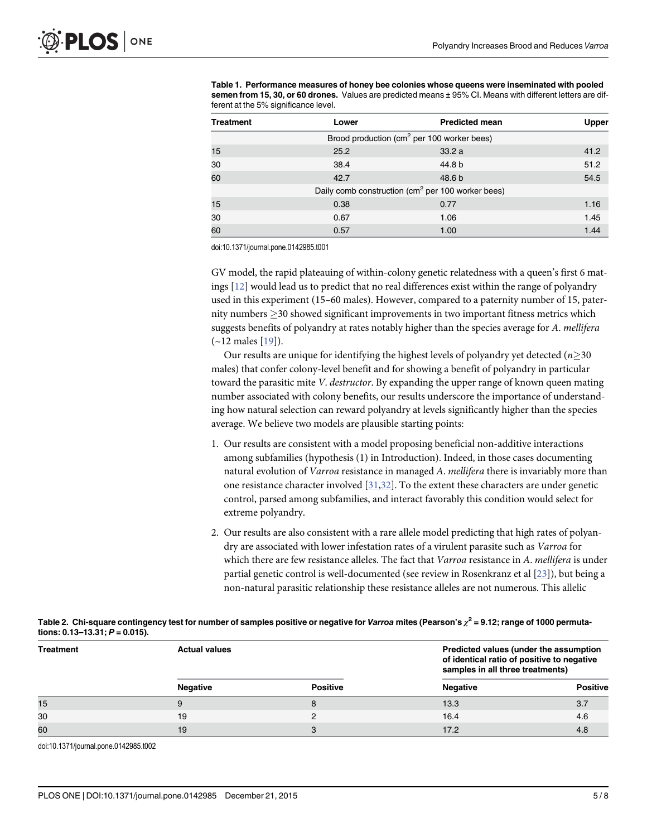<span id="page-4-0"></span>[Table 1.](#page-3-0) Performance measures of honey bee colonies whose queens were inseminated with pooled semen from 15, 30, or 60 drones. Values are predicted means ± 95% CI. Means with different letters are different at the 5% significance level.

| <b>Treatment</b> | Lower                                                         | <b>Predicted mean</b> | Upper |  |  |
|------------------|---------------------------------------------------------------|-----------------------|-------|--|--|
|                  | Brood production (cm <sup>2</sup> per 100 worker bees)        |                       |       |  |  |
| 15               | 25.2                                                          | 33.2a                 | 41.2  |  |  |
| 30               | 38.4                                                          | 44.8 b                | 51.2  |  |  |
| 60               | 42.7                                                          | 48.6 <sub>b</sub>     | 54.5  |  |  |
|                  | Daily comb construction (cm <sup>2</sup> per 100 worker bees) |                       |       |  |  |
| 15               | 0.38                                                          | 0.77                  | 1.16  |  |  |
| 30               | 0.67                                                          | 1.06                  | 1.45  |  |  |
| 60               | 0.57                                                          | 1.00                  | 1.44  |  |  |

doi:10.1371/journal.pone.0142985.t001

GV model, the rapid plateauing of within-colony genetic relatedness with a queen's first 6 matings [[12](#page-6-0)] would lead us to predict that no real differences exist within the range of polyandry used in this experiment (15–60 males). However, compared to a paternity number of 15, paternity numbers  $\geq$  30 showed significant improvements in two important fitness metrics which suggests benefits of polyandry at rates notably higher than the species average for A. mellifera (~12 males [\[19](#page-6-0)]).

Our results are unique for identifying the highest levels of polyandry yet detected ( $n\geq30$ ) males) that confer colony-level benefit and for showing a benefit of polyandry in particular toward the parasitic mite V. *destructor*. By expanding the upper range of known queen mating number associated with colony benefits, our results underscore the importance of understanding how natural selection can reward polyandry at levels significantly higher than the species average. We believe two models are plausible starting points:

- 1. Our results are consistent with a model proposing beneficial non-additive interactions among subfamilies (hypothesis (1) in Introduction). Indeed, in those cases documenting natural evolution of Varroa resistance in managed A. mellifera there is invariably more than one resistance character involved [[31](#page-7-0),[32](#page-7-0)]. To the extent these characters are under genetic control, parsed among subfamilies, and interact favorably this condition would select for extreme polyandry.
- 2. Our results are also consistent with a rare allele model predicting that high rates of polyandry are associated with lower infestation rates of a virulent parasite such as Varroa for which there are few resistance alleles. The fact that Varroa resistance in A. mellifera is under partial genetic control is well-documented (see review in Rosenkranz et al [\[23\]](#page-6-0)), but being a non-natural parasitic relationship these resistance alleles are not numerous. This allelic

| tions: $0.13 - 13.31$ ; $P = 0.015$ ). |                      |                 |                                                                                                                          |                 |  |  |  |
|----------------------------------------|----------------------|-----------------|--------------------------------------------------------------------------------------------------------------------------|-----------------|--|--|--|
| <b>Treatment</b>                       | <b>Actual values</b> |                 | Predicted values (under the assumption<br>of identical ratio of positive to negative<br>samples in all three treatments) |                 |  |  |  |
|                                        | <b>Negative</b>      | <b>Positive</b> | <b>Negative</b>                                                                                                          | <b>Positive</b> |  |  |  |
| 15                                     | 9                    | 8               | 13.3                                                                                                                     | 3.7             |  |  |  |
| 30                                     | 19                   |                 | 16.4                                                                                                                     | 4.6             |  |  |  |
| 60                                     | 19                   | 3               | 17.2                                                                                                                     | 4.8             |  |  |  |

[Table 2.](#page-3-0) Chi-square contingency test for number of samples positive or negative for Varroa mites (Pearson's  $\chi^2$  = 9.12; range of 1000 permutations: 0.13–13.31; P = 0.015).

doi:10.1371/journal.pone.0142985.t002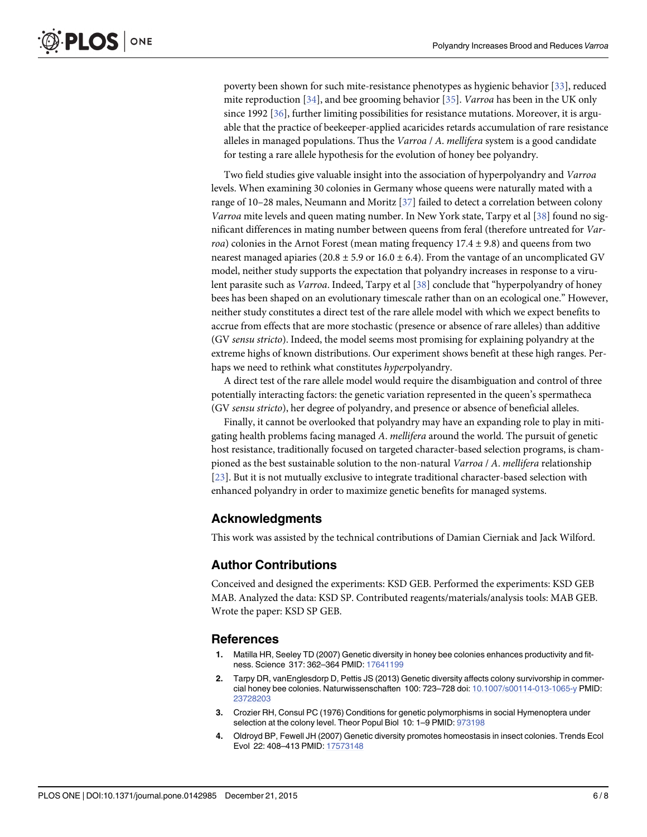<span id="page-5-0"></span>poverty been shown for such mite-resistance phenotypes as hygienic behavior [[33\]](#page-7-0), reduced mite reproduction [\[34\]](#page-7-0), and bee grooming behavior [[35](#page-7-0)]. Varroa has been in the UK only since 1992 [\[36\]](#page-7-0), further limiting possibilities for resistance mutations. Moreover, it is arguable that the practice of beekeeper-applied acaricides retards accumulation of rare resistance alleles in managed populations. Thus the Varroa  $/$  A. mellifera system is a good candidate for testing a rare allele hypothesis for the evolution of honey bee polyandry.

Two field studies give valuable insight into the association of hyperpolyandry and Varroa levels. When examining 30 colonies in Germany whose queens were naturally mated with a range of 10–28 males, Neumann and Moritz [[37](#page-7-0)] failed to detect a correlation between colony Varroa mite levels and queen mating number. In New York state, Tarpy et al [[38\]](#page-7-0) found no significant differences in mating number between queens from feral (therefore untreated for Varroa) colonies in the Arnot Forest (mean mating frequency  $17.4 \pm 9.8$ ) and queens from two nearest managed apiaries (20.8  $\pm$  5.9 or 16.0  $\pm$  6.4). From the vantage of an uncomplicated GV model, neither study supports the expectation that polyandry increases in response to a viru-lent parasite such as Varroa. Indeed, Tarpy et al [\[38\]](#page-7-0) conclude that "hyperpolyandry of honey bees has been shaped on an evolutionary timescale rather than on an ecological one." However, neither study constitutes a direct test of the rare allele model with which we expect benefits to accrue from effects that are more stochastic (presence or absence of rare alleles) than additive (GV sensu stricto). Indeed, the model seems most promising for explaining polyandry at the extreme highs of known distributions. Our experiment shows benefit at these high ranges. Perhaps we need to rethink what constitutes hyperpolyandry.

A direct test of the rare allele model would require the disambiguation and control of three potentially interacting factors: the genetic variation represented in the queen's spermatheca (GV sensu stricto), her degree of polyandry, and presence or absence of beneficial alleles.

Finally, it cannot be overlooked that polyandry may have an expanding role to play in mitigating health problems facing managed A. mellifera around the world. The pursuit of genetic host resistance, traditionally focused on targeted character-based selection programs, is championed as the best sustainable solution to the non-natural Varroa / A. mellifera relationship [\[23](#page-6-0)]. But it is not mutually exclusive to integrate traditional character-based selection with enhanced polyandry in order to maximize genetic benefits for managed systems.

#### Acknowledgments

This work was assisted by the technical contributions of Damian Cierniak and Jack Wilford.

#### Author Contributions

Conceived and designed the experiments: KSD GEB. Performed the experiments: KSD GEB MAB. Analyzed the data: KSD SP. Contributed reagents/materials/analysis tools: MAB GEB. Wrote the paper: KSD SP GEB.

#### References

- [1.](#page-1-0) Matilla HR, Seeley TD (2007) Genetic diversity in honey bee colonies enhances productivity and fitness. Science 317: 362–364 PMID: [17641199](http://www.ncbi.nlm.nih.gov/pubmed/17641199)
- [2.](#page-1-0) Tarpy DR, vanEnglesdorp D, Pettis JS (2013) Genetic diversity affects colony survivorship in commercial honey bee colonies. Naturwissenschaften 100: 723–728 doi: [10.1007/s00114-013-1065-y](http://dx.doi.org/10.1007/s00114-013-1065-y) PMID: [23728203](http://www.ncbi.nlm.nih.gov/pubmed/23728203)
- [3.](#page-1-0) Crozier RH, Consul PC (1976) Conditions for genetic polymorphisms in social Hymenoptera under selection at the colony level. Theor Popul Biol 10: 1–9 PMID: [973198](http://www.ncbi.nlm.nih.gov/pubmed/973198)
- [4.](#page-1-0) Oldroyd BP, Fewell JH (2007) Genetic diversity promotes homeostasis in insect colonies. Trends Ecol Evol 22: 408–413 PMID: [17573148](http://www.ncbi.nlm.nih.gov/pubmed/17573148)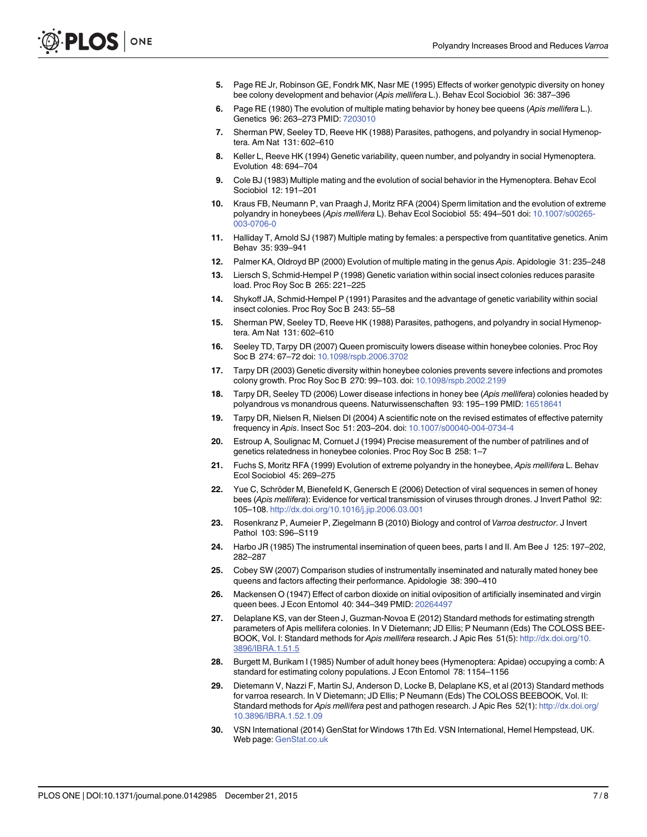- <span id="page-6-0"></span>[5.](#page-1-0) Page RE Jr, Robinson GE, Fondrk MK, Nasr ME (1995) Effects of worker genotypic diversity on honey bee colony development and behavior (Apis mellifera L.). Behav Ecol Sociobiol 36: 387–396
- [6.](#page-1-0) Page RE (1980) The evolution of multiple mating behavior by honey bee queens (Apis mellifera L.). Genetics 96: 263–273 PMID: [7203010](http://www.ncbi.nlm.nih.gov/pubmed/7203010)
- [7.](#page-1-0) Sherman PW, Seeley TD, Reeve HK (1988) Parasites, pathogens, and polyandry in social Hymenoptera. Am Nat 131: 602–610
- [8.](#page-1-0) Keller L, Reeve HK (1994) Genetic variability, queen number, and polyandry in social Hymenoptera. Evolution 48: 694–704
- [9.](#page-1-0) Cole BJ (1983) Multiple mating and the evolution of social behavior in the Hymenoptera. Behav Ecol Sociobiol 12: 191–201
- [10.](#page-1-0) Kraus FB, Neumann P, van Praagh J, Moritz RFA (2004) Sperm limitation and the evolution of extreme polyandry in honeybees (Apis mellifera L). Behav Ecol Sociobiol 55: 494–501 doi: [10.1007/s00265-](http://dx.doi.org/10.1007/s00265-003-0706-0) [003-0706-0](http://dx.doi.org/10.1007/s00265-003-0706-0)
- [11.](#page-1-0) Halliday T, Arnold SJ (1987) Multiple mating by females: a perspective from quantitative genetics. Anim Behav 35: 939–941
- [12.](#page-1-0) Palmer KA, Oldroyd BP (2000) Evolution of multiple mating in the genus Apis. Apidologie 31: 235–248
- [13.](#page-1-0) Liersch S, Schmid-Hempel P (1998) Genetic variation within social insect colonies reduces parasite load. Proc Roy Soc B 265: 221–225
- [14.](#page-1-0) Shykoff JA, Schmid-Hempel P (1991) Parasites and the advantage of genetic variability within social insect colonies. Proc Roy Soc B 243: 55–58
- [15.](#page-1-0) Sherman PW, Seeley TD, Reeve HK (1988) Parasites, pathogens, and polyandry in social Hymenoptera. Am Nat 131: 602–610
- [16.](#page-1-0) Seeley TD, Tarpy DR (2007) Queen promiscuity lowers disease within honeybee colonies. Proc Roy Soc B 274: 67–72 doi: [10.1098/rspb.2006.3702](http://dx.doi.org/10.1098/rspb.2006.3702)
- [17.](#page-1-0) Tarpy DR (2003) Genetic diversity within honeybee colonies prevents severe infections and promotes colony growth. Proc Roy Soc B 270: 99–103. doi: [10.1098/rspb.2002.2199](http://dx.doi.org/10.1098/rspb.2002.2199)
- [18.](#page-1-0) Tarpy DR, Seeley TD (2006) Lower disease infections in honey bee (Apis mellifera) colonies headed by polyandrous vs monandrous queens. Naturwissenschaften 93: 195–199 PMID: [16518641](http://www.ncbi.nlm.nih.gov/pubmed/16518641)
- [19.](#page-1-0) Tarpy DR, Nielsen R, Nielsen DI (2004) A scientific note on the revised estimates of effective paternity frequency in Apis. Insect Soc 51: 203–204. doi: [10.1007/s00040-004-0734-4](http://dx.doi.org/10.1007/s00040-004-0734-4)
- [20.](#page-1-0) Estroup A, Soulignac M, Cornuet J (1994) Precise measurement of the number of patrilines and of genetics relatedness in honeybee colonies. Proc Roy Soc B 258: 1–7
- [21.](#page-1-0) Fuchs S, Moritz RFA (1999) Evolution of extreme polyandry in the honeybee, Apis mellifera L. Behav Ecol Sociobiol 45: 269–275
- [22.](#page-1-0) Yue C, Schröder M, Bienefeld K, Genersch E (2006) Detection of viral sequences in semen of honey bees (Apis mellifera): Evidence for vertical transmission of viruses through drones. J Invert Pathol 92: 105–108. <http://dx.doi.org/10.1016/j.jip.2006.03.001>
- [23.](#page-1-0) Rosenkranz P, Aumeier P, Ziegelmann B (2010) Biology and control of Varroa destructor. J Invert Pathol 103: S96–S119
- [24.](#page-2-0) Harbo JR (1985) The instrumental insemination of queen bees, parts I and II. Am Bee J 125: 197–202, 282–287
- [25.](#page-2-0) Cobey SW (2007) Comparison studies of instrumentally inseminated and naturally mated honey bee queens and factors affecting their performance. Apidologie 38: 390–410
- [26.](#page-2-0) Mackensen O (1947) Effect of carbon dioxide on initial oviposition of artificially inseminated and virgin queen bees. J Econ Entomol 40: 344–349 PMID: [20264497](http://www.ncbi.nlm.nih.gov/pubmed/20264497)
- [27.](#page-2-0) Delaplane KS, van der Steen J, Guzman-Novoa E (2012) Standard methods for estimating strength parameters of Apis mellifera colonies. In V Dietemann; JD Ellis; P Neumann (Eds) The COLOSS BEE-BOOK, Vol. I: Standard methods for Apis mellifera research. J Apic Res 51(5): [http://dx.doi.org/10.](http://dx.doi.org/10.3896/IBRA.1.51.5) [3896/IBRA.1.51.5](http://dx.doi.org/10.3896/IBRA.1.51.5)
- [28.](#page-3-0) Burgett M, Burikam I (1985) Number of adult honey bees (Hymenoptera: Apidae) occupying a comb: A standard for estimating colony populations. J Econ Entomol 78: 1154–1156
- [29.](#page-3-0) Dietemann V, Nazzi F, Martin SJ, Anderson D, Locke B, Delaplane KS, et al (2013) Standard methods for varroa research. In V Dietemann; JD Ellis; P Neumann (Eds) The COLOSS BEEBOOK, Vol. II: Standard methods for Apis mellifera pest and pathogen research. J Apic Res 52(1): [http://dx.doi.org/](http://dx.doi.org/10.3896/IBRA.1.52.1.09) [10.3896/IBRA.1.52.1.09](http://dx.doi.org/10.3896/IBRA.1.52.1.09)
- [30.](#page-3-0) VSN International (2014) GenStat for Windows 17th Ed. VSN International, Hemel Hempstead, UK. Web page: [GenStat.co.uk](http://GenStat.co.uk)